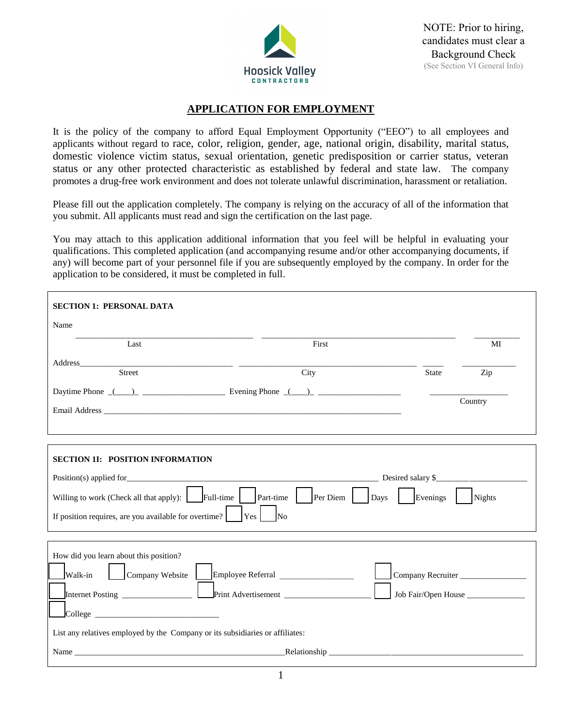

## **APPLICATION FOR EMPLOYMENT**

It is the policy of the company to afford Equal Employment Opportunity ("EEO") to all employees and applicants without regard to race, color, religion, gender, age, national origin, disability, marital status, domestic violence victim status, sexual orientation, genetic predisposition or carrier status, veteran status or any other protected characteristic as established by federal and state law. The company promotes a drug-free work environment and does not tolerate unlawful discrimination, harassment or retaliation.

Please fill out the application completely. The company is relying on the accuracy of all of the information that you submit. All applicants must read and sign the certification on the last page.

You may attach to this application additional information that you feel will be helpful in evaluating your qualifications. This completed application (and accompanying resume and/or other accompanying documents, if any) will become part of your personnel file if you are subsequently employed by the company. In order for the application to be considered, it must be completed in full.

| <b>SECTION 1: PERSONAL DATA</b>                                                                                                                                                                                               |                                                                        |                     |         |
|-------------------------------------------------------------------------------------------------------------------------------------------------------------------------------------------------------------------------------|------------------------------------------------------------------------|---------------------|---------|
| Name                                                                                                                                                                                                                          |                                                                        |                     |         |
| Last                                                                                                                                                                                                                          | First                                                                  |                     | MI      |
| Address______<br>Street                                                                                                                                                                                                       | City                                                                   | <b>State</b>        |         |
|                                                                                                                                                                                                                               |                                                                        |                     | Zip     |
|                                                                                                                                                                                                                               | Daytime Phone $(\_\_\_\_\_\_\_\$ Evening Phone $(\_\_\)_\_\_\_\_\_\_\$ |                     | Country |
| <b>SECTION 1I: POSITION INFORMATION</b>                                                                                                                                                                                       |                                                                        |                     |         |
|                                                                                                                                                                                                                               |                                                                        | Desired salary \$   |         |
| Willing to work (Check all that apply): $\left\  \right\ $ Full-time<br>If position requires, are you available for overtime?                                                                                                 | $Part-time$<br>Per Diem<br>Days<br> Yes <br>N <sub>0</sub>             | $\vert$ Evenings    | Nights  |
|                                                                                                                                                                                                                               |                                                                        |                     |         |
| How did you learn about this position?                                                                                                                                                                                        |                                                                        |                     |         |
| Company Website<br>Walk-in                                                                                                                                                                                                    |                                                                        | Company Recruiter   |         |
|                                                                                                                                                                                                                               |                                                                        | Job Fair/Open House |         |
| $\Box$ College $\Box$                                                                                                                                                                                                         |                                                                        |                     |         |
| List any relatives employed by the Company or its subsidiaries or affiliates:                                                                                                                                                 |                                                                        |                     |         |
| Name and the same state of the same state of the same state of the same state of the same state of the same state of the same state of the same state of the same state of the same state of the same state of the same state |                                                                        |                     |         |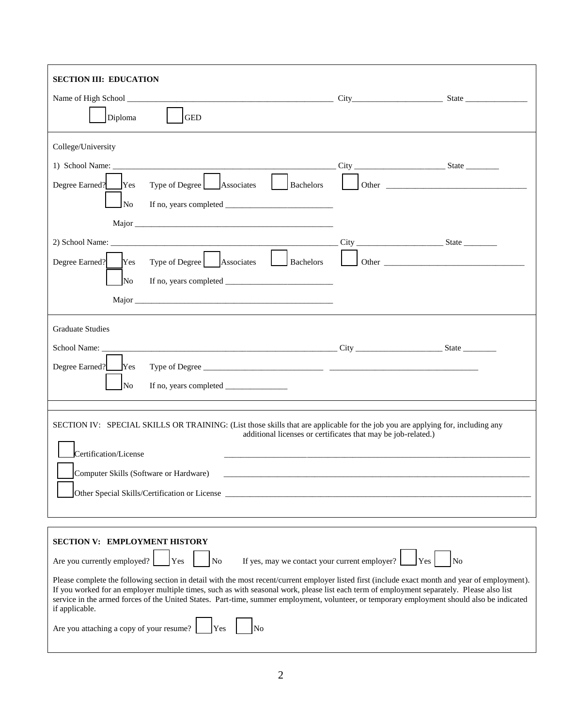| <b>SECTION III: EDUCATION</b><br>Name of High School State State State State State State State State State State State State State State State State State State State State State State State State State State State State State State State State State Stat<br>Diploma<br><b>GED</b>                                                                                                                                                                                                                                                                                                                                                                                                             |  |                             |  |
|------------------------------------------------------------------------------------------------------------------------------------------------------------------------------------------------------------------------------------------------------------------------------------------------------------------------------------------------------------------------------------------------------------------------------------------------------------------------------------------------------------------------------------------------------------------------------------------------------------------------------------------------------------------------------------------------------|--|-----------------------------|--|
| College/University<br>Degree Earned? Yes<br>Type of Degree   Associates   Bachelors  <br><b>No</b>                                                                                                                                                                                                                                                                                                                                                                                                                                                                                                                                                                                                   |  |                             |  |
| Type of Degree Associates Bachelors<br>Degree Earned? Yes<br>No<br>If no, years completed $\_\_$<br>Major and the same state of the state of the state of the state of the state of the state of the state of the state of the state of the state of the state of the state of the state of the state of the state of the state of                                                                                                                                                                                                                                                                                                                                                                   |  | Other $\qquad \qquad$ Other |  |
| <b>Graduate Studies</b><br>Degree Earned?<br>Yes<br><b>No</b>                                                                                                                                                                                                                                                                                                                                                                                                                                                                                                                                                                                                                                        |  |                             |  |
| SECTION IV: SPECIAL SKILLS OR TRAINING: (List those skills that are applicable for the job you are applying for, including any<br>additional licenses or certificates that may be job-related.)<br>Certification/License<br>Computer Skills (Software or Hardware)<br>Other Special Skills/Certification or License                                                                                                                                                                                                                                                                                                                                                                                  |  |                             |  |
| <b>SECTION V: EMPLOYMENT HISTORY</b><br>If yes, may we contact your current employer?<br>Are you currently employed?<br>Yes<br><b>No</b><br>N <sub>o</sub><br>Yes<br>Please complete the following section in detail with the most recent/current employer listed first (include exact month and year of employment).<br>If you worked for an employer multiple times, such as with seasonal work, please list each term of employment separately. Please also list<br>service in the armed forces of the United States. Part-time, summer employment, volunteer, or temporary employment should also be indicated<br>if applicable.<br>Are you attaching a copy of your resume?<br><b>No</b><br>Yes |  |                             |  |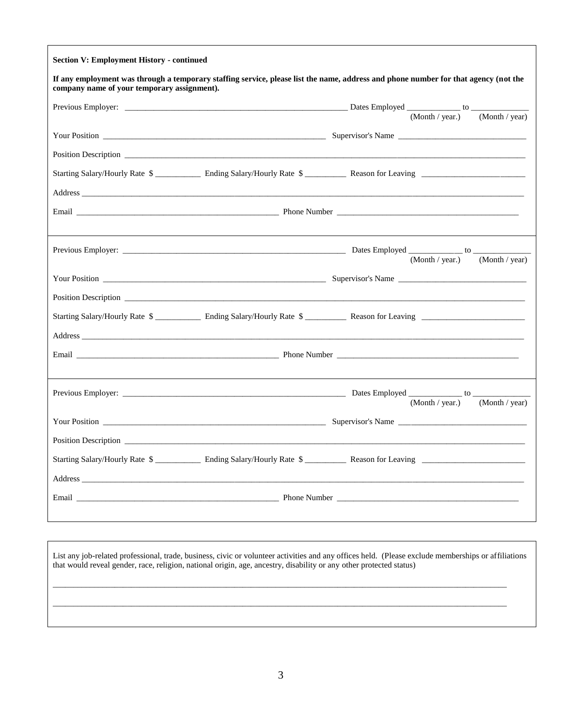| <b>Section V: Employment History - continued</b>                                                                                                                                                                               |                                                                                                                                                                                                                                |
|--------------------------------------------------------------------------------------------------------------------------------------------------------------------------------------------------------------------------------|--------------------------------------------------------------------------------------------------------------------------------------------------------------------------------------------------------------------------------|
| company name of your temporary assignment).                                                                                                                                                                                    | If any employment was through a temporary staffing service, please list the name, address and phone number for that agency (not the                                                                                            |
|                                                                                                                                                                                                                                |                                                                                                                                                                                                                                |
|                                                                                                                                                                                                                                | (Month / year)<br>(Month / year.)                                                                                                                                                                                              |
|                                                                                                                                                                                                                                |                                                                                                                                                                                                                                |
| Position Description                                                                                                                                                                                                           |                                                                                                                                                                                                                                |
|                                                                                                                                                                                                                                |                                                                                                                                                                                                                                |
|                                                                                                                                                                                                                                |                                                                                                                                                                                                                                |
|                                                                                                                                                                                                                                |                                                                                                                                                                                                                                |
|                                                                                                                                                                                                                                |                                                                                                                                                                                                                                |
|                                                                                                                                                                                                                                |                                                                                                                                                                                                                                |
|                                                                                                                                                                                                                                | $(Month / year.)$ $(Month / year)$                                                                                                                                                                                             |
|                                                                                                                                                                                                                                |                                                                                                                                                                                                                                |
|                                                                                                                                                                                                                                | Position Description Learning and Contact the Contact of the Contact of the Contact of the Contact of the Contact of the Contact of the Contact of the Contact of the Contact of the Contact of the Contact of the Contact of  |
|                                                                                                                                                                                                                                |                                                                                                                                                                                                                                |
| Address and the contract of the contract of the contract of the contract of the contract of the contract of the contract of the contract of the contract of the contract of the contract of the contract of the contract of th |                                                                                                                                                                                                                                |
|                                                                                                                                                                                                                                |                                                                                                                                                                                                                                |
|                                                                                                                                                                                                                                |                                                                                                                                                                                                                                |
|                                                                                                                                                                                                                                |                                                                                                                                                                                                                                |
|                                                                                                                                                                                                                                | $(Month / year.)$ $(Month / year)$                                                                                                                                                                                             |
|                                                                                                                                                                                                                                |                                                                                                                                                                                                                                |
|                                                                                                                                                                                                                                |                                                                                                                                                                                                                                |
|                                                                                                                                                                                                                                |                                                                                                                                                                                                                                |
| Address and the state of the state of the state of the state of the state of the state of the state of the state of the state of the state of the state of the state of the state of the state of the state of the state of th |                                                                                                                                                                                                                                |
|                                                                                                                                                                                                                                | Phone Number Theorem and Theorem and Theorem and Theorem and Theorem and Theorem and Theorem and Theorem and Theorem and Theorem and Theorem and Theorem and Theorem and Theorem and Theorem and Theorem and Theorem and Theor |
|                                                                                                                                                                                                                                |                                                                                                                                                                                                                                |
|                                                                                                                                                                                                                                |                                                                                                                                                                                                                                |

List any job-related professional, trade, business, civic or volunteer activities and any offices held. (Please exclude memberships or affiliations that would reveal gender, race, religion, national origin, age, ancestry, disability or any other protected status)

\_\_\_\_\_\_\_\_\_\_\_\_\_\_\_\_\_\_\_\_\_\_\_\_\_\_\_\_\_\_\_\_\_\_\_\_\_\_\_\_\_\_\_\_\_\_\_\_\_\_\_\_\_\_\_\_\_\_\_\_\_\_\_\_\_\_\_\_\_\_\_\_\_\_\_\_\_\_\_\_\_\_\_\_\_\_\_\_\_\_\_\_\_\_\_\_\_\_\_\_\_\_\_\_\_\_\_\_\_\_

\_\_\_\_\_\_\_\_\_\_\_\_\_\_\_\_\_\_\_\_\_\_\_\_\_\_\_\_\_\_\_\_\_\_\_\_\_\_\_\_\_\_\_\_\_\_\_\_\_\_\_\_\_\_\_\_\_\_\_\_\_\_\_\_\_\_\_\_\_\_\_\_\_\_\_\_\_\_\_\_\_\_\_\_\_\_\_\_\_\_\_\_\_\_\_\_\_\_\_\_\_\_\_\_\_\_\_\_\_\_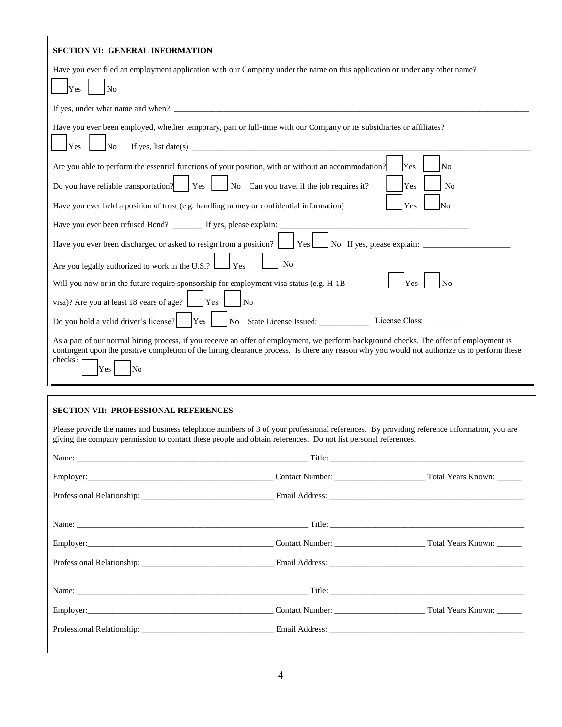| <b>SECTION VI: GENERAL INFORMATION</b>                                                                                                                                                                                                                                                                                                                                                                                          |
|---------------------------------------------------------------------------------------------------------------------------------------------------------------------------------------------------------------------------------------------------------------------------------------------------------------------------------------------------------------------------------------------------------------------------------|
| Have you ever filed an employment application with our Company under the name on this application or under any other name?<br>Yes<br>N <sub>o</sub>                                                                                                                                                                                                                                                                             |
|                                                                                                                                                                                                                                                                                                                                                                                                                                 |
| Have you ever been employed, whether temporary, part or full-time with our Company or its subsidiaries or affiliates?<br>If yes, list date(s) $\frac{1}{2}$ and $\frac{1}{2}$ and $\frac{1}{2}$ and $\frac{1}{2}$ and $\frac{1}{2}$ and $\frac{1}{2}$ and $\frac{1}{2}$ and $\frac{1}{2}$ and $\frac{1}{2}$ and $\frac{1}{2}$ and $\frac{1}{2}$ and $\frac{1}{2}$ and $\frac{1}{2}$ and $\frac{1}{2}$ and $\frac{$<br>Yes<br>No |
| Yes<br>Are you able to perform the essential functions of your position, with or without an accommodation?<br>N <sub>0</sub><br>No Can you travel if the job requires it?<br>Do you have reliable transportation?<br>Yes<br>Yes<br>N <sub>0</sub>                                                                                                                                                                               |
| Yes<br>Have you ever held a position of trust (e.g. handling money or confidential information)<br>No                                                                                                                                                                                                                                                                                                                           |
| Have you ever been refused Bond? ________ If yes, please explain: ___<br>the control of the control of the control of the control of the control of the control of<br>Have you ever been discharged or asked to resign from a position? [See Biggs No If yes, please explain: 2003)                                                                                                                                             |
| Are you legally authorized to work in the U.S.?<br>N <sub>o</sub><br>Yes                                                                                                                                                                                                                                                                                                                                                        |
| Will you now or in the future require sponsorship for employment visa status (e.g. H-1B)<br>$\overline{N}$<br>Yes                                                                                                                                                                                                                                                                                                               |
| visa)? Are you at least 18 years of age? $\Box$ Yes $\Box$ No                                                                                                                                                                                                                                                                                                                                                                   |
| No State License Issued: License Class:<br>Yes<br>Do you hold a valid driver's license?                                                                                                                                                                                                                                                                                                                                         |
| As a part of our normal hiring process, if you receive an offer of employment, we perform background checks. The offer of employment is<br>contingent upon the positive completion of the hiring clearance process. Is there any reason why you would not authorize us to perform these<br>checks?<br>Yes<br>No                                                                                                                 |

## **SECTION VII: PROFESSIONAL REFERENCES**

Please provide the names and business telephone numbers of 3 of your professional references. By providing reference information, you are giving the company permission to contact these people and obtain references. Do not list personal references.